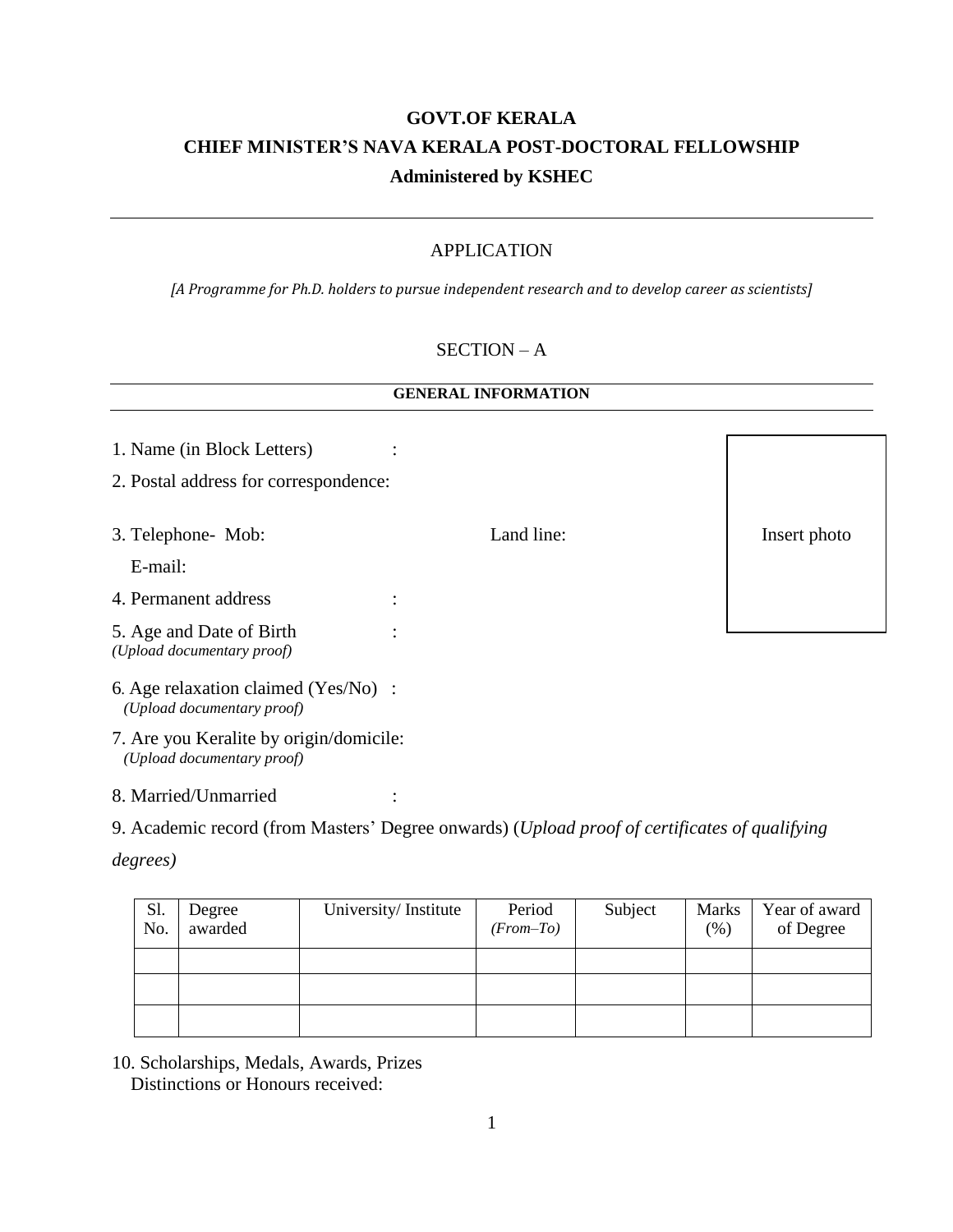# **GOVT.OF KERALA CHIEF MINISTER'S NAVA KERALA POST-DOCTORAL FELLOWSHIP Administered by KSHEC**

## APPLICATION

*[A Programme for Ph.D. holders to pursue independent research and to develop career as scientists]*

#### SECTION – A

#### **GENERAL INFORMATION**

| 1. Name (in Block Letters)                                            |            |              |
|-----------------------------------------------------------------------|------------|--------------|
| 2. Postal address for correspondence:                                 |            |              |
|                                                                       |            |              |
| 3. Telephone- Mob:                                                    | Land line: | Insert photo |
| E-mail:                                                               |            |              |
| 4. Permanent address                                                  |            |              |
| 5. Age and Date of Birth<br>(Upload documentary proof)                |            |              |
| 6. Age relaxation claimed (Yes/No) :<br>(Upload documentary proof)    |            |              |
| 7. Are you Keralite by origin/domicile:<br>(Upload documentary proof) |            |              |

8. Married/Unmarried :

9. Academic record (from Masters' Degree onwards) (*Upload proof of certificates of qualifying* 

*degrees)*

| Sl.<br>No. | Degree<br>awarded | University/Institute | Period<br>(From–To) | Subject | <b>Marks</b><br>(%) | Year of award<br>of Degree |
|------------|-------------------|----------------------|---------------------|---------|---------------------|----------------------------|
|            |                   |                      |                     |         |                     |                            |
|            |                   |                      |                     |         |                     |                            |
|            |                   |                      |                     |         |                     |                            |

10. Scholarships, Medals, Awards, Prizes Distinctions or Honours received: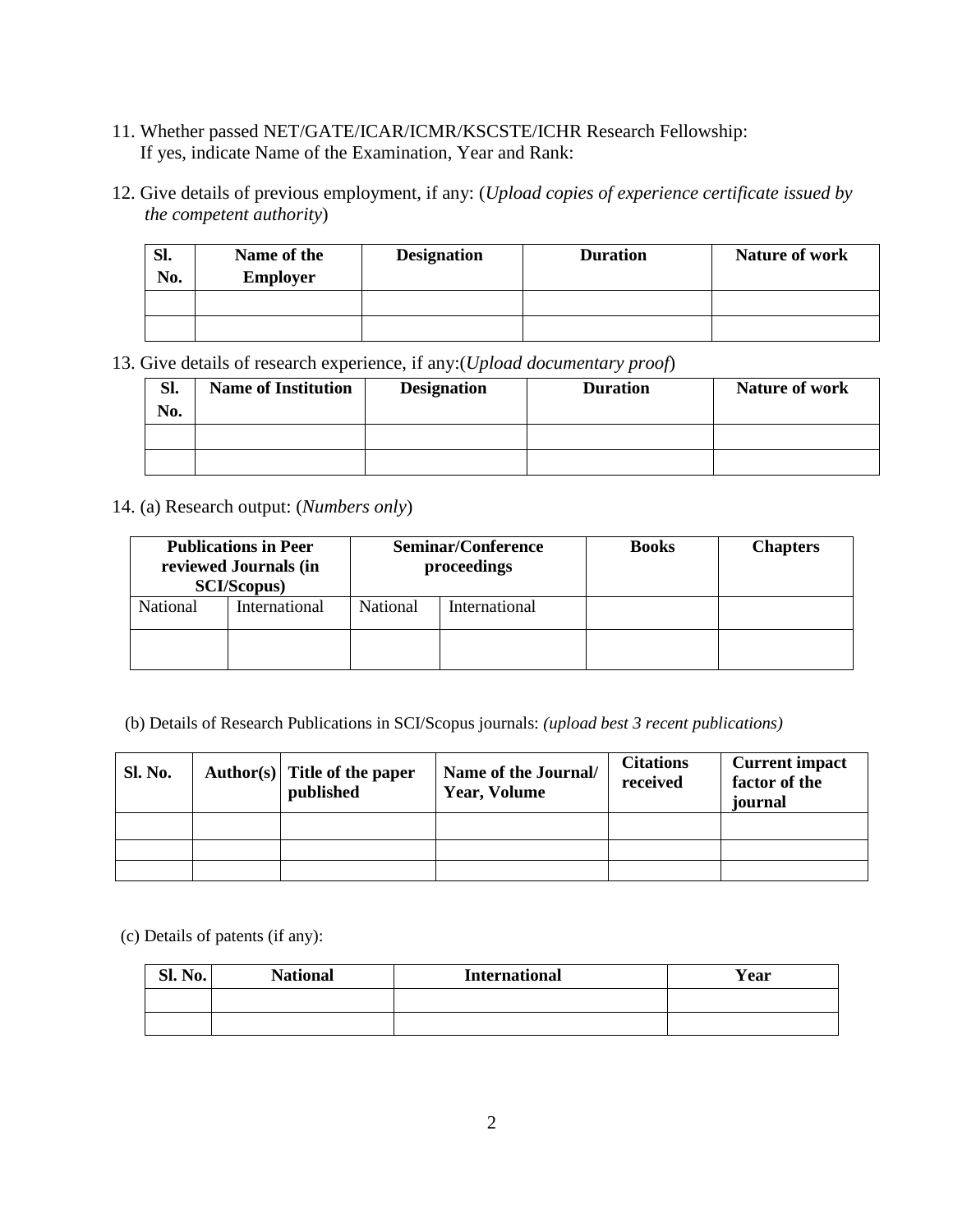- 11. Whether passed NET/GATE/ICAR/ICMR/KSCSTE/ICHR Research Fellowship: If yes, indicate Name of the Examination, Year and Rank:
- 12. Give details of previous employment, if any: (*Upload copies of experience certificate issued by the competent authority*)

| Sl.<br>No. | Name of the<br><b>Employer</b> | <b>Designation</b> | <b>Duration</b> | <b>Nature of work</b> |
|------------|--------------------------------|--------------------|-----------------|-----------------------|
|            |                                |                    |                 |                       |
|            |                                |                    |                 |                       |

13. Give details of research experience, if any:(*Upload documentary proof*)

| Sl.<br>No. | <b>Name of Institution</b> | <b>Designation</b> | <b>Duration</b> | <b>Nature of work</b> |
|------------|----------------------------|--------------------|-----------------|-----------------------|
|            |                            |                    |                 |                       |
|            |                            |                    |                 |                       |

14. (a) Research output: (*Numbers only*)

| <b>Publications in Peer</b><br>reviewed Journals (in<br><b>SCI/Scopus)</b> |               | <b>Seminar/Conference</b><br>proceedings |               | <b>Books</b> | <b>Chapters</b> |
|----------------------------------------------------------------------------|---------------|------------------------------------------|---------------|--------------|-----------------|
| <b>National</b>                                                            | International | National                                 | International |              |                 |
|                                                                            |               |                                          |               |              |                 |

(b) Details of Research Publications in SCI/Scopus journals: *(upload best 3 recent publications)*

| <b>Sl. No.</b> | Author(s) Title of the paper<br>published | Name of the Journal/<br><b>Year, Volume</b> | <b>Citations</b><br>received | <b>Current impact</b><br>factor of the<br>journal |
|----------------|-------------------------------------------|---------------------------------------------|------------------------------|---------------------------------------------------|
|                |                                           |                                             |                              |                                                   |
|                |                                           |                                             |                              |                                                   |
|                |                                           |                                             |                              |                                                   |

(c) Details of patents (if any):

| Sl. No. | <b>National</b> | <b>International</b> | Year |
|---------|-----------------|----------------------|------|
|         |                 |                      |      |
|         |                 |                      |      |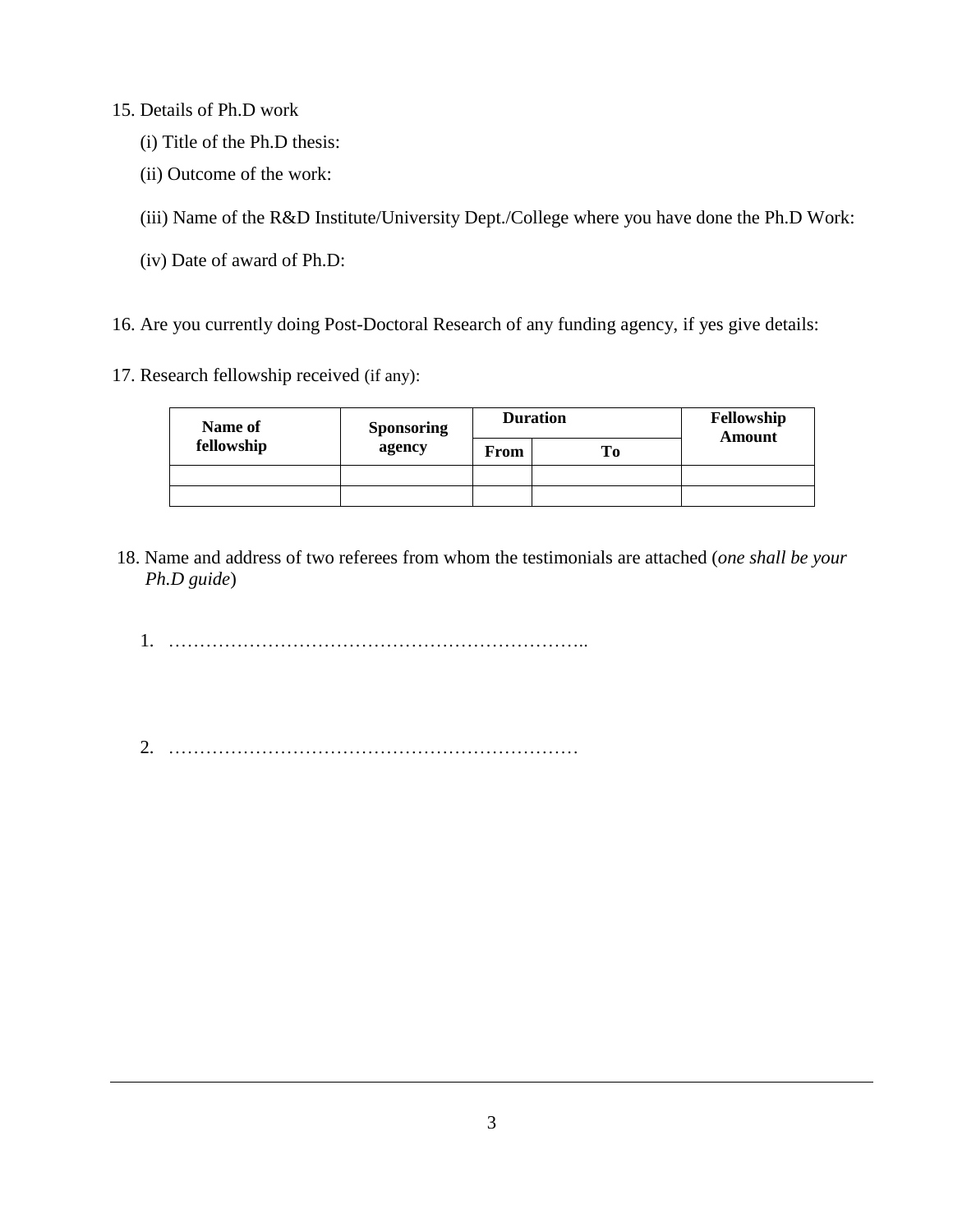15. Details of Ph.D work

- (i) Title of the Ph.D thesis:
- (ii) Outcome of the work:

(iii) Name of the R&D Institute/University Dept./College where you have done the Ph.D Work:

(iv) Date of award of Ph.D:

16. Are you currently doing Post-Doctoral Research of any funding agency, if yes give details:

17. Research fellowship received (if any):

| Name of    | <b>Sponsoring</b> |      | <b>Duration</b> | Fellowship<br><b>Amount</b> |
|------------|-------------------|------|-----------------|-----------------------------|
| fellowship | agency            | From | ĽО              |                             |
|            |                   |      |                 |                             |
|            |                   |      |                 |                             |

18. Name and address of two referees from whom the testimonials are attached (*one shall be your Ph.D guide*)

1. …………………………………………………………..

2. …………………………………………………………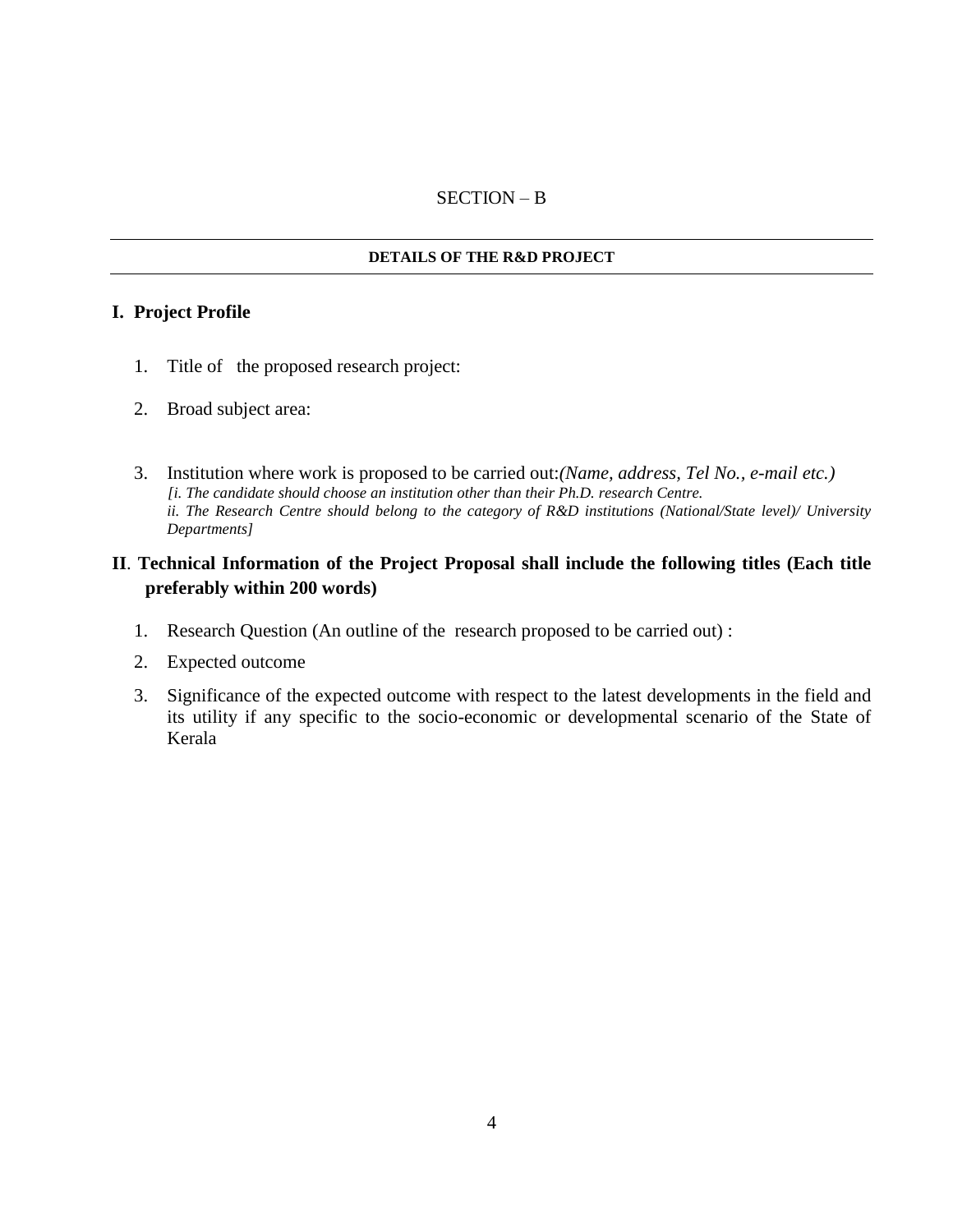## SECTION – B

## **DETAILS OF THE R&D PROJECT**

## **I. Project Profile**

- 1. Title of the proposed research project:
- 2. Broad subject area:
- 3. Institution where work is proposed to be carried out:*(Name, address, Tel No., e-mail etc.) [i. The candidate should choose an institution other than their Ph.D. research Centre. ii. The Research Centre should belong to the category of R&D institutions (National/State level)/ University Departments]*

# **II**. **Technical Information of the Project Proposal shall include the following titles (Each title preferably within 200 words)**

- 1. Research Question (An outline of the research proposed to be carried out) :
- 2. Expected outcome
- 3. Significance of the expected outcome with respect to the latest developments in the field and its utility if any specific to the socio-economic or developmental scenario of the State of Kerala